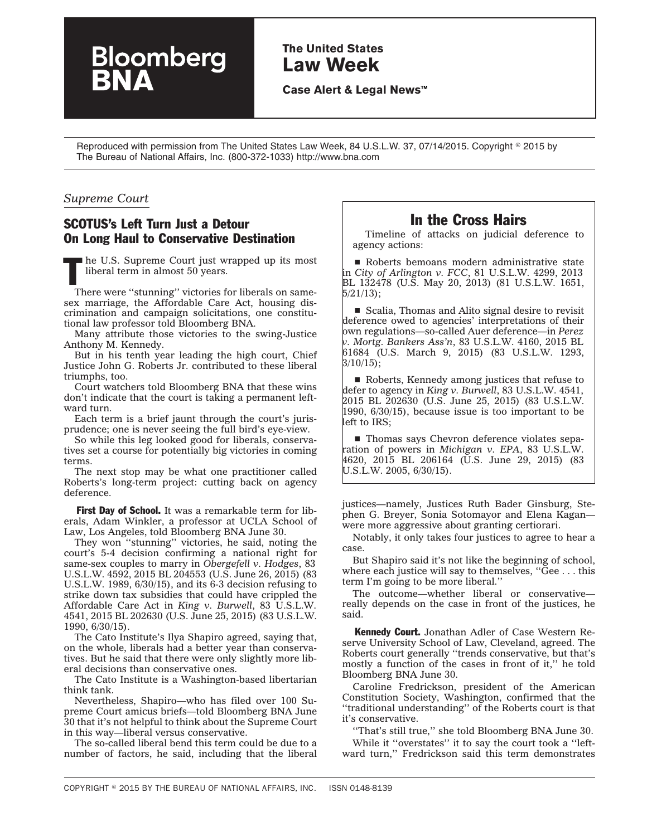# **The United States Law Week**

**Case Alert & Legal News™**

Reproduced with permission from The United States Law Week, 84 U.S.L.W. 37, 07/14/2015. Copyright © 2015 by The Bureau of National Affairs, Inc. (800-372-1033) http://www.bna.com

#### *Supreme Court*

#### SCOTUS's Left Turn Just a Detour On Long Haul to Conservative Destination

Bloomberg

I he U.S. Supreme Court just wrapped up its most liberal term in almost 50 years.

There were ''stunning'' victories for liberals on samesex marriage, the Affordable Care Act, housing discrimination and campaign solicitations, one constitutional law professor told Bloomberg BNA.

Many attribute those victories to the swing-Justice Anthony M. Kennedy.

But in his tenth year leading the high court, Chief Justice John G. Roberts Jr. contributed to these liberal triumphs, too.

Court watchers told Bloomberg BNA that these wins don't indicate that the court is taking a permanent leftward turn.

Each term is a brief jaunt through the court's jurisprudence; one is never seeing the full bird's eye-view.

So while this leg looked good for liberals, conservatives set a course for potentially big victories in coming terms.

The next stop may be what one practitioner called Roberts's long-term project: cutting back on agency deference.

First Day of School. It was a remarkable term for liberals, Adam Winkler, a professor at UCLA School of Law, Los Angeles, told Bloomberg BNA June 30.

They won ''stunning'' victories, he said, noting the court's 5-4 decision confirming a national right for same-sex couples to marry in *Obergefell v. Hodges*, 83 U.S.L.W. 4592, 2015 BL 204553 (U.S. June 26, 2015) (83 U.S.L.W. 1989, 6/30/15), and its 6-3 decision refusing to strike down tax subsidies that could have crippled the Affordable Care Act in *King v. Burwell*, 83 U.S.L.W. 4541, 2015 BL 202630 (U.S. June 25, 2015) (83 U.S.L.W. 1990, 6/30/15).

The Cato Institute's Ilya Shapiro agreed, saying that, on the whole, liberals had a better year than conservatives. But he said that there were only slightly more liberal decisions than conservative ones.

The Cato Institute is a Washington-based libertarian think tank.

Nevertheless, Shapiro—who has filed over 100 Supreme Court amicus briefs—told Bloomberg BNA June 30 that it's not helpful to think about the Supreme Court in this way—liberal versus conservative.

The so-called liberal bend this term could be due to a number of factors, he said, including that the liberal

## In the Cross Hairs

Timeline of attacks on judicial deference to agency actions:

 $\blacksquare$  Roberts bemoans modern administrative state in *City of Arlington v. FCC*, 81 U.S.L.W. 4299, 2013 BL 132478 (U.S. May 20, 2013) (81 U.S.L.W. 1651, 5/21/13);

■ Scalia, Thomas and Alito signal desire to revisit deference owed to agencies' interpretations of their own regulations—so-called Auer deference—in *Perez v. Mortg. Bankers Ass'n*, 83 U.S.L.W. 4160, 2015 BL 61684 (U.S. March 9, 2015) (83 U.S.L.W. 1293,  $3/10/15$ ;

 $\blacksquare$  Roberts, Kennedy among justices that refuse to defer to agency in *King v. Burwell*, 83 U.S.L.W. 4541, 2015 BL 202630 (U.S. June 25, 2015) (83 U.S.L.W. 1990, 6/30/15), because issue is too important to be left to IRS;

■ Thomas says Chevron deference violates separation of powers in *Michigan v. EPA*, 83 U.S.L.W. 4620, 2015 BL 206164 (U.S. June 29, 2015) (83 U.S.L.W. 2005, 6/30/15).

justices—namely, Justices Ruth Bader Ginsburg, Stephen G. Breyer, Sonia Sotomayor and Elena Kagan were more aggressive about granting certiorari.

Notably, it only takes four justices to agree to hear a case.

But Shapiro said it's not like the beginning of school, where each justice will say to themselves, "Gee . . . this term I'm going to be more liberal.''

The outcome—whether liberal or conservative really depends on the case in front of the justices, he said.

**Kennedy Court.** Jonathan Adler of Case Western Reserve University School of Law, Cleveland, agreed. The Roberts court generally ''trends conservative, but that's mostly a function of the cases in front of it,'' he told Bloomberg BNA June 30.

Caroline Fredrickson, president of the American Constitution Society, Washington, confirmed that the ''traditional understanding'' of the Roberts court is that it's conservative.

''That's still true,'' she told Bloomberg BNA June 30. While it ''overstates'' it to say the court took a ''leftward turn,'' Fredrickson said this term demonstrates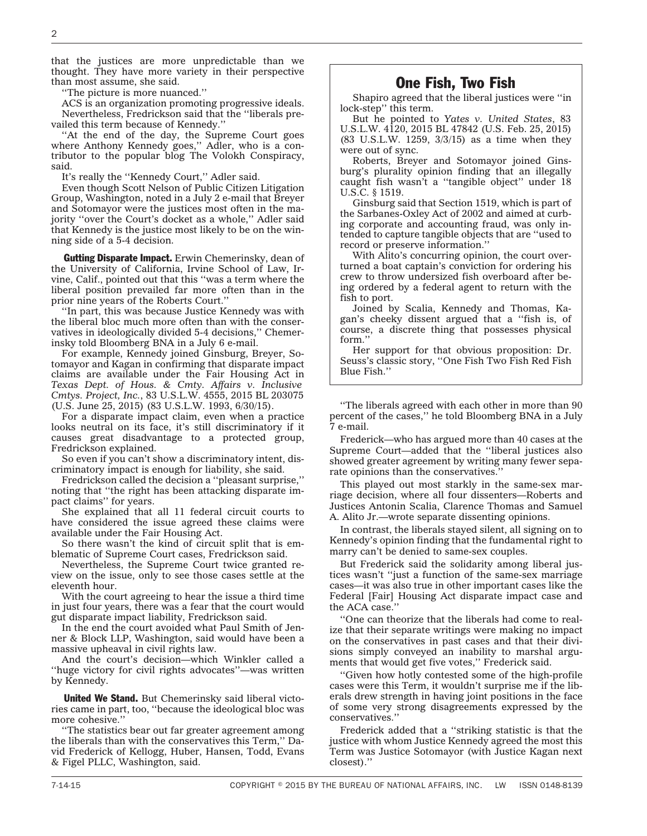that the justices are more unpredictable than we thought. They have more variety in their perspective than most assume, she said.

''The picture is more nuanced.''

ACS is an organization promoting progressive ideals. Nevertheless, Fredrickson said that the ''liberals prevailed this term because of Kennedy.''

''At the end of the day, the Supreme Court goes where Anthony Kennedy goes,'' Adler, who is a contributor to the popular blog The Volokh Conspiracy, said.

It's really the ''Kennedy Court,'' Adler said.

Even though Scott Nelson of Public Citizen Litigation Group, Washington, noted in a July 2 e-mail that Breyer and Sotomayor were the justices most often in the majority ''over the Court's docket as a whole,'' Adler said that Kennedy is the justice most likely to be on the winning side of a 5-4 decision.

**Gutting Disparate Impact.** Erwin Chemerinsky, dean of the University of California, Irvine School of Law, Irvine, Calif., pointed out that this ''was a term where the liberal position prevailed far more often than in the prior nine years of the Roberts Court.''

''In part, this was because Justice Kennedy was with the liberal bloc much more often than with the conservatives in ideologically divided 5-4 decisions,'' Chemerinsky told Bloomberg BNA in a July 6 e-mail.

For example, Kennedy joined Ginsburg, Breyer, Sotomayor and Kagan in confirming that disparate impact claims are available under the Fair Housing Act in *Texas Dept. of Hous. & Cmty. Affairs v. Inclusive Cmtys. Project, Inc.*, 83 U.S.L.W. 4555, 2015 BL 203075 (U.S. June 25, 2015) (83 U.S.L.W. 1993, 6/30/15).

For a disparate impact claim, even when a practice looks neutral on its face, it's still discriminatory if it causes great disadvantage to a protected group, Fredrickson explained.

So even if you can't show a discriminatory intent, discriminatory impact is enough for liability, she said.

Fredrickson called the decision a ''pleasant surprise,'' noting that ''the right has been attacking disparate impact claims'' for years.

She explained that all 11 federal circuit courts to have considered the issue agreed these claims were available under the Fair Housing Act.

So there wasn't the kind of circuit split that is emblematic of Supreme Court cases, Fredrickson said.

Nevertheless, the Supreme Court twice granted review on the issue, only to see those cases settle at the eleventh hour.

With the court agreeing to hear the issue a third time in just four years, there was a fear that the court would gut disparate impact liability, Fredrickson said.

In the end the court avoided what Paul Smith of Jenner & Block LLP, Washington, said would have been a massive upheaval in civil rights law.

And the court's decision—which Winkler called a ''huge victory for civil rights advocates''—was written by Kennedy.

United We Stand. But Chemerinsky said liberal victories came in part, too, ''because the ideological bloc was more cohesive.''

''The statistics bear out far greater agreement among the liberals than with the conservatives this Term,'' David Frederick of Kellogg, Huber, Hansen, Todd, Evans & Figel PLLC, Washington, said.

# One Fish, Two Fish

Shapiro agreed that the liberal justices were ''in lock-step'' this term.

But he pointed to *Yates v. United States*, 83 U.S.L.W. 4120, 2015 BL 47842 (U.S. Feb. 25, 2015) (83 U.S.L.W. 1259, 3/3/15) as a time when they were out of sync.

Roberts, Breyer and Sotomayor joined Ginsburg's plurality opinion finding that an illegally caught fish wasn't a ''tangible object'' under 18 U.S.C. § 1519.

Ginsburg said that Section 1519, which is part of the Sarbanes-Oxley Act of 2002 and aimed at curbing corporate and accounting fraud, was only intended to capture tangible objects that are ''used to record or preserve information.''

With Alito's concurring opinion, the court overturned a boat captain's conviction for ordering his crew to throw undersized fish overboard after being ordered by a federal agent to return with the fish to port.

Joined by Scalia, Kennedy and Thomas, Kagan's cheeky dissent argued that a ''fish is, of course, a discrete thing that possesses physical form.'

Her support for that obvious proposition: Dr. Seuss's classic story, ''One Fish Two Fish Red Fish Blue Fish.''

''The liberals agreed with each other in more than 90 percent of the cases,'' he told Bloomberg BNA in a July 7 e-mail.

Frederick—who has argued more than 40 cases at the Supreme Court—added that the ''liberal justices also showed greater agreement by writing many fewer separate opinions than the conservatives.''

This played out most starkly in the same-sex marriage decision, where all four dissenters—Roberts and Justices Antonin Scalia, Clarence Thomas and Samuel A. Alito Jr.—wrote separate dissenting opinions.

In contrast, the liberals stayed silent, all signing on to Kennedy's opinion finding that the fundamental right to marry can't be denied to same-sex couples.

But Frederick said the solidarity among liberal justices wasn't ''just a function of the same-sex marriage cases—it was also true in other important cases like the Federal [Fair] Housing Act disparate impact case and the ACA case.''

''One can theorize that the liberals had come to realize that their separate writings were making no impact on the conservatives in past cases and that their divisions simply conveyed an inability to marshal arguments that would get five votes,'' Frederick said.

''Given how hotly contested some of the high-profile cases were this Term, it wouldn't surprise me if the liberals drew strength in having joint positions in the face of some very strong disagreements expressed by the conservatives.''

Frederick added that a ''striking statistic is that the justice with whom Justice Kennedy agreed the most this Term was Justice Sotomayor (with Justice Kagan next closest).''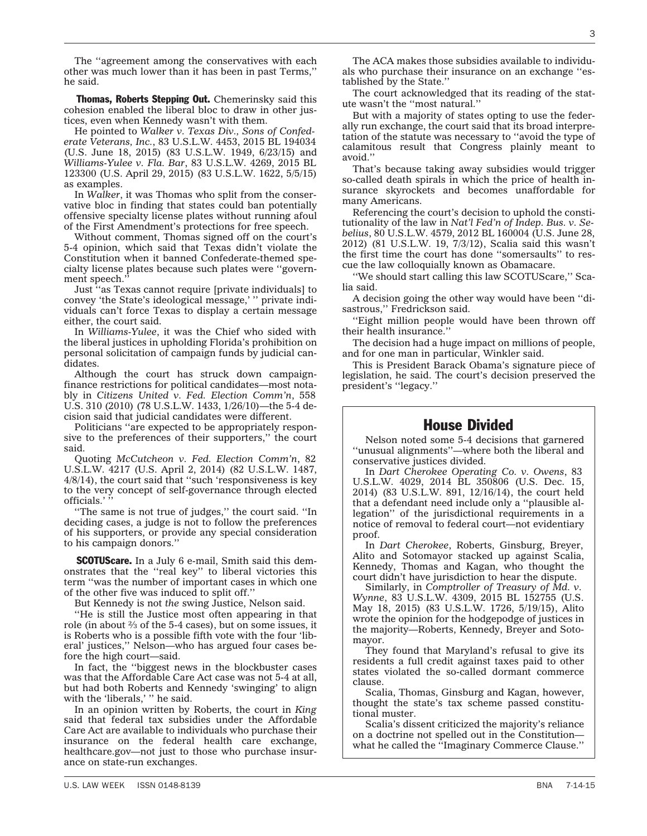The ''agreement among the conservatives with each other was much lower than it has been in past Terms,'' he said.

Thomas, Roberts Stepping Out. Chemerinsky said this cohesion enabled the liberal bloc to draw in other justices, even when Kennedy wasn't with them.

He pointed to *Walker v. Texas Div., Sons of Confederate Veterans, Inc.*, 83 U.S.L.W. 4453, 2015 BL 194034 (U.S. June 18, 2015) (83 U.S.L.W. 1949, 6/23/15) and *Williams-Yulee v. Fla. Bar*, 83 U.S.L.W. 4269, 2015 BL 123300 (U.S. April 29, 2015) (83 U.S.L.W. 1622, 5/5/15) as examples.

In *Walker*, it was Thomas who split from the conservative bloc in finding that states could ban potentially offensive specialty license plates without running afoul of the First Amendment's protections for free speech.

Without comment, Thomas signed off on the court's 5-4 opinion, which said that Texas didn't violate the Constitution when it banned Confederate-themed specialty license plates because such plates were ''government speech.''

Just ''as Texas cannot require [private individuals] to convey 'the State's ideological message,' '' private individuals can't force Texas to display a certain message either, the court said.

In *Williams-Yulee*, it was the Chief who sided with the liberal justices in upholding Florida's prohibition on personal solicitation of campaign funds by judicial candidates.

Although the court has struck down campaignfinance restrictions for political candidates—most notably in *Citizens United v. Fed. Election Comm'n*, 558 U.S. 310 (2010) (78 U.S.L.W. 1433, 1/26/10)—the 5-4 decision said that judicial candidates were different.

Politicians ''are expected to be appropriately responsive to the preferences of their supporters,'' the court said.

Quoting *McCutcheon v. Fed. Election Comm'n*, 82 U.S.L.W. 4217 (U.S. April 2, 2014) (82 U.S.L.W. 1487, 4/8/14), the court said that ''such 'responsiveness is key to the very concept of self-governance through elected officials.'

''The same is not true of judges,'' the court said. ''In deciding cases, a judge is not to follow the preferences of his supporters, or provide any special consideration to his campaign donors.''

**SCOTUScare.** In a July 6 e-mail, Smith said this demonstrates that the ''real key'' to liberal victories this term ''was the number of important cases in which one of the other five was induced to split off.''

But Kennedy is not *the* swing Justice, Nelson said.

''He is still the Justice most often appearing in that role (in about  $\frac{2}{3}$  of the 5-4 cases), but on some issues, it is Roberts who is a possible fifth vote with the four 'liberal' justices,'' Nelson—who has argued four cases before the high court—said.

In fact, the ''biggest news in the blockbuster cases was that the Affordable Care Act case was not 5-4 at all, but had both Roberts and Kennedy 'swinging' to align with the 'liberals,' " he said.

In an opinion written by Roberts, the court in *King* said that federal tax subsidies under the Affordable Care Act are available to individuals who purchase their insurance on the federal health care exchange, healthcare.gov—not just to those who purchase insurance on state-run exchanges.

The ACA makes those subsidies available to individuals who purchase their insurance on an exchange ''established by the State.''

The court acknowledged that its reading of the statute wasn't the ''most natural.''

But with a majority of states opting to use the federally run exchange, the court said that its broad interpretation of the statute was necessary to ''avoid the type of calamitous result that Congress plainly meant to avoid.''

That's because taking away subsidies would trigger so-called death spirals in which the price of health insurance skyrockets and becomes unaffordable for many Americans.

Referencing the court's decision to uphold the constitutionality of the law in *Nat'l Fed'n of Indep. Bus. v. Sebelius*, 80 U.S.L.W. 4579, 2012 BL 160004 (U.S. June 28, 2012) (81 U.S.L.W. 19, 7/3/12), Scalia said this wasn't the first time the court has done ''somersaults'' to rescue the law colloquially known as Obamacare.

''We should start calling this law SCOTUScare,'' Scalia said.

A decision going the other way would have been ''disastrous,'' Fredrickson said.

''Eight million people would have been thrown off their health insurance.''

The decision had a huge impact on millions of people, and for one man in particular, Winkler said.

This is President Barack Obama's signature piece of legislation, he said. The court's decision preserved the president's ''legacy.''

#### House Divided

Nelson noted some 5-4 decisions that garnered ''unusual alignments''—where both the liberal and conservative justices divided.

In *Dart Cherokee Operating Co. v. Owens*, 83 U.S.L.W. 4029, 2014 BL 350806 (U.S. Dec. 15, 2014) (83 U.S.L.W. 891, 12/16/14), the court held that a defendant need include only a ''plausible allegation'' of the jurisdictional requirements in a notice of removal to federal court—not evidentiary proof.

In *Dart Cherokee*, Roberts, Ginsburg, Breyer, Alito and Sotomayor stacked up against Scalia, Kennedy, Thomas and Kagan, who thought the court didn't have jurisdiction to hear the dispute.

Similarly, in *Comptroller of Treasury of Md. v. Wynne*, 83 U.S.L.W. 4309, 2015 BL 152755 (U.S. May 18, 2015) (83 U.S.L.W. 1726, 5/19/15), Alito wrote the opinion for the hodgepodge of justices in the majority—Roberts, Kennedy, Breyer and Sotomayor.

They found that Maryland's refusal to give its residents a full credit against taxes paid to other states violated the so-called dormant commerce clause.

Scalia, Thomas, Ginsburg and Kagan, however, thought the state's tax scheme passed constitutional muster.

Scalia's dissent criticized the majority's reliance on a doctrine not spelled out in the Constitution what he called the ''Imaginary Commerce Clause.''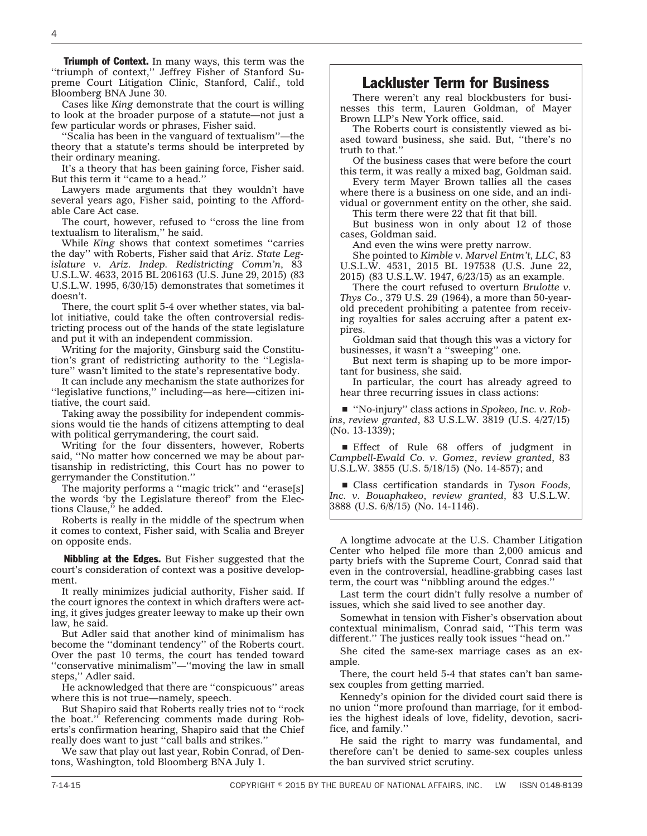**Triumph of Context.** In many ways, this term was the ''triumph of context,'' Jeffrey Fisher of Stanford Supreme Court Litigation Clinic, Stanford, Calif., told Bloomberg BNA June 30.

Cases like *King* demonstrate that the court is willing to look at the broader purpose of a statute—not just a few particular words or phrases, Fisher said.

''Scalia has been in the vanguard of textualism''—the theory that a statute's terms should be interpreted by their ordinary meaning.

It's a theory that has been gaining force, Fisher said. But this term it "came to a head."

Lawyers made arguments that they wouldn't have several years ago, Fisher said, pointing to the Affordable Care Act case.

The court, however, refused to ''cross the line from textualism to literalism,'' he said.

While *King* shows that context sometimes ''carries the day'' with Roberts, Fisher said that *Ariz. State Legislature v. Ariz. Indep. Redistricting Comm'n*, 83 U.S.L.W. 4633, 2015 BL 206163 (U.S. June 29, 2015) (83 U.S.L.W. 1995, 6/30/15) demonstrates that sometimes it doesn't.

There, the court split 5-4 over whether states, via ballot initiative, could take the often controversial redistricting process out of the hands of the state legislature and put it with an independent commission.

Writing for the majority, Ginsburg said the Constitution's grant of redistricting authority to the ''Legislature'' wasn't limited to the state's representative body.

It can include any mechanism the state authorizes for ''legislative functions,'' including—as here—citizen initiative, the court said.

Taking away the possibility for independent commissions would tie the hands of citizens attempting to deal with political gerrymandering, the court said.

Writing for the four dissenters, however, Roberts said, ''No matter how concerned we may be about partisanship in redistricting, this Court has no power to gerrymander the Constitution.''

The majority performs a "magic trick" and "erase[s] the words 'by the Legislature thereof' from the Elections Clause,'' he added.

Roberts is really in the middle of the spectrum when it comes to context, Fisher said, with Scalia and Breyer on opposite ends.

Nibbling at the Edges. But Fisher suggested that the court's consideration of context was a positive development.

It really minimizes judicial authority, Fisher said. If the court ignores the context in which drafters were acting, it gives judges greater leeway to make up their own law, he said.

But Adler said that another kind of minimalism has become the ''dominant tendency'' of the Roberts court. Over the past 10 terms, the court has tended toward ''conservative minimalism''—''moving the law in small steps,'' Adler said.

He acknowledged that there are ''conspicuous'' areas where this is not true—namely, speech.

But Shapiro said that Roberts really tries not to ''rock the boat.'' Referencing comments made during Roberts's confirmation hearing, Shapiro said that the Chief really does want to just ''call balls and strikes.''

We saw that play out last year, Robin Conrad, of Dentons, Washington, told Bloomberg BNA July 1.

# Lackluster Term for Business

There weren't any real blockbusters for businesses this term, Lauren Goldman, of Mayer Brown LLP's New York office, said.

The Roberts court is consistently viewed as biased toward business, she said. But, ''there's no truth to that.''

Of the business cases that were before the court this term, it was really a mixed bag, Goldman said.

Every term Mayer Brown tallies all the cases where there is a business on one side, and an individual or government entity on the other, she said.

This term there were 22 that fit that bill.

But business won in only about 12 of those cases, Goldman said.

And even the wins were pretty narrow.

She pointed to *Kimble v. Marvel Entm't, LLC*, 83 U.S.L.W. 4531, 2015 BL 197538 (U.S. June 22, 2015) (83 U.S.L.W. 1947, 6/23/15) as an example.

There the court refused to overturn *Brulotte v. Thys Co.*, 379 U.S. 29 (1964), a more than 50-yearold precedent prohibiting a patentee from receiving royalties for sales accruing after a patent expires.

Goldman said that though this was a victory for businesses, it wasn't a ''sweeping'' one.

But next term is shaping up to be more important for business, she said.

In particular, the court has already agreed to hear three recurring issues in class actions:

■ "No-injury" class actions in *Spokeo*, *Inc. v. Robins*, *review granted*, 83 U.S.L.W. 3819 (U.S. 4/27/15) (No. 13-1339);

**Effect** of Rule 68 offers of judgment in *Campbell-Ewald Co. v. Gomez*, *review granted*, 83 U.S.L.W. 3855 (U.S. 5/18/15) (No. 14-857); and

■ Class certification standards in *Tyson Foods*, *Inc. v. Bouaphakeo*, *review granted*, 83 U.S.L.W. 3888 (U.S. 6/8/15) (No. 14-1146).

A longtime advocate at the U.S. Chamber Litigation Center who helped file more than 2,000 amicus and party briefs with the Supreme Court, Conrad said that even in the controversial, headline-grabbing cases last term, the court was ''nibbling around the edges.''

Last term the court didn't fully resolve a number of issues, which she said lived to see another day.

Somewhat in tension with Fisher's observation about contextual minimalism, Conrad said, ''This term was different.'' The justices really took issues ''head on.''

She cited the same-sex marriage cases as an example.

There, the court held 5-4 that states can't ban samesex couples from getting married.

Kennedy's opinion for the divided court said there is no union ''more profound than marriage, for it embodies the highest ideals of love, fidelity, devotion, sacrifice, and family.''

He said the right to marry was fundamental, and therefore can't be denied to same-sex couples unless the ban survived strict scrutiny.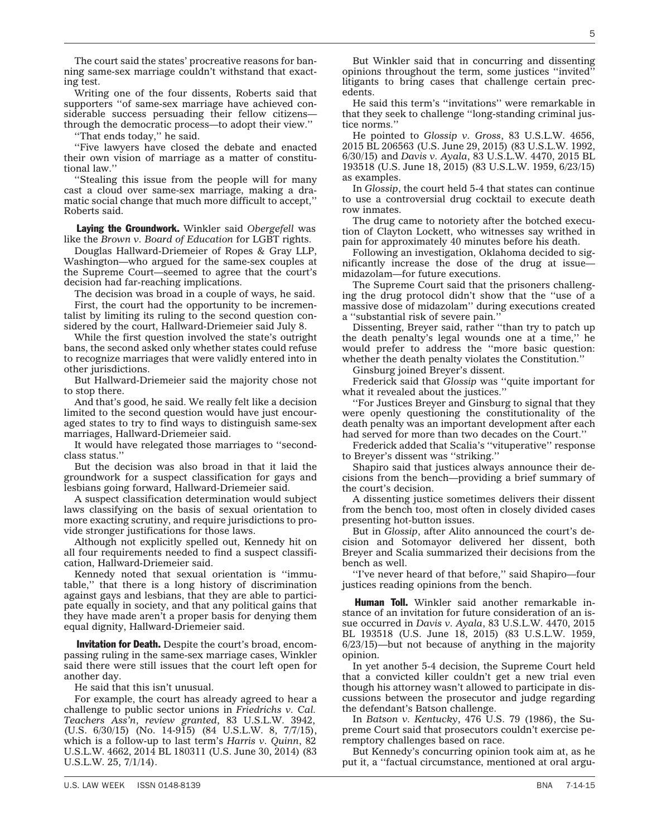another day.

challenge to public sector unions in *Friedrichs v. Cal. Teachers Ass'n*, *review granted*, 83 U.S.L.W. 3942, (U.S. 6/30/15) (No. 14-915) (84 U.S.L.W. 8, 7/7/15), which is a follow-up to last term's *Harris v. Quinn*, 82 U.S.L.W. 4662, 2014 BL 180311 (U.S. June 30, 2014) (83 U.S.L.W. 25, 7/1/14).

The court said the states' procreative reasons for banning same-sex marriage couldn't withstand that exact-

Writing one of the four dissents, Roberts said that supporters ''of same-sex marriage have achieved considerable success persuading their fellow citizens through the democratic process—to adopt their view.''

''Five lawyers have closed the debate and enacted their own vision of marriage as a matter of constitu-

''Stealing this issue from the people will for many cast a cloud over same-sex marriage, making a dramatic social change that much more difficult to accept,''

Laying the Groundwork. Winkler said *Obergefell* was like the *Brown v. Board of Education* for LGBT rights. Douglas Hallward-Driemeier of Ropes & Gray LLP, Washington—who argued for the same-sex couples at the Supreme Court—seemed to agree that the court's

The decision was broad in a couple of ways, he said. First, the court had the opportunity to be incrementalist by limiting its ruling to the second question considered by the court, Hallward-Driemeier said July 8. While the first question involved the state's outright bans, the second asked only whether states could refuse to recognize marriages that were validly entered into in

But Hallward-Driemeier said the majority chose not

And that's good, he said. We really felt like a decision limited to the second question would have just encouraged states to try to find ways to distinguish same-sex

It would have relegated those marriages to ''second-

But the decision was also broad in that it laid the groundwork for a suspect classification for gays and lesbians going forward, Hallward-Driemeier said.

A suspect classification determination would subject laws classifying on the basis of sexual orientation to more exacting scrutiny, and require jurisdictions to pro-

Although not explicitly spelled out, Kennedy hit on all four requirements needed to find a suspect classifi-

Kennedy noted that sexual orientation is ''immutable,'' that there is a long history of discrimination against gays and lesbians, that they are able to participate equally in society, and that any political gains that they have made aren't a proper basis for denying them

**Invitation for Death.** Despite the court's broad, encompassing ruling in the same-sex marriage cases, Winkler said there were still issues that the court left open for

For example, the court has already agreed to hear a

ing test.

tional law.''

Roberts said.

other jurisdictions.

to stop there.

class status.''

''That ends today,'' he said.

decision had far-reaching implications.

marriages, Hallward-Driemeier said.

vide stronger justifications for those laws.

equal dignity, Hallward-Driemeier said.

He said that this isn't unusual.

cation, Hallward-Driemeier said.

But Winkler said that in concurring and dissenting opinions throughout the term, some justices ''invited'' litigants to bring cases that challenge certain precedents.

He said this term's ''invitations'' were remarkable in that they seek to challenge ''long-standing criminal justice norms.''

He pointed to *Glossip v. Gross*, 83 U.S.L.W. 4656, 2015 BL 206563 (U.S. June 29, 2015) (83 U.S.L.W. 1992, 6/30/15) and *Davis v. Ayala*, 83 U.S.L.W. 4470, 2015 BL 193518 (U.S. June 18, 2015) (83 U.S.L.W. 1959, 6/23/15) as examples.

In *Glossip*, the court held 5-4 that states can continue to use a controversial drug cocktail to execute death row inmates.

The drug came to notoriety after the botched execution of Clayton Lockett, who witnesses say writhed in pain for approximately 40 minutes before his death.

Following an investigation, Oklahoma decided to significantly increase the dose of the drug at issue midazolam—for future executions.

The Supreme Court said that the prisoners challenging the drug protocol didn't show that the ''use of a massive dose of midazolam'' during executions created a ''substantial risk of severe pain.''

Dissenting, Breyer said, rather ''than try to patch up the death penalty's legal wounds one at a time,'' he would prefer to address the ''more basic question: whether the death penalty violates the Constitution.''

Ginsburg joined Breyer's dissent.

Frederick said that *Glossip* was ''quite important for what it revealed about the justices.''

''For Justices Breyer and Ginsburg to signal that they were openly questioning the constitutionality of the death penalty was an important development after each had served for more than two decades on the Court.''

Frederick added that Scalia's ''vituperative'' response to Breyer's dissent was ''striking.''

Shapiro said that justices always announce their decisions from the bench—providing a brief summary of the court's decision.

A dissenting justice sometimes delivers their dissent from the bench too, most often in closely divided cases presenting hot-button issues.

But in *Glossip*, after Alito announced the court's decision and Sotomayor delivered her dissent, both Breyer and Scalia summarized their decisions from the bench as well.

''I've never heard of that before,'' said Shapiro—four justices reading opinions from the bench.

**Human Toll.** Winkler said another remarkable instance of an invitation for future consideration of an issue occurred in *Davis v. Ayala*, 83 U.S.L.W. 4470, 2015 BL 193518 (U.S. June 18, 2015) (83 U.S.L.W. 1959, 6/23/15)—but not because of anything in the majority opinion.

In yet another 5-4 decision, the Supreme Court held that a convicted killer couldn't get a new trial even though his attorney wasn't allowed to participate in discussions between the prosecutor and judge regarding the defendant's Batson challenge.

In *Batson v. Kentucky*, 476 U.S. 79 (1986), the Supreme Court said that prosecutors couldn't exercise peremptory challenges based on race.

But Kennedy's concurring opinion took aim at, as he put it, a ''factual circumstance, mentioned at oral argu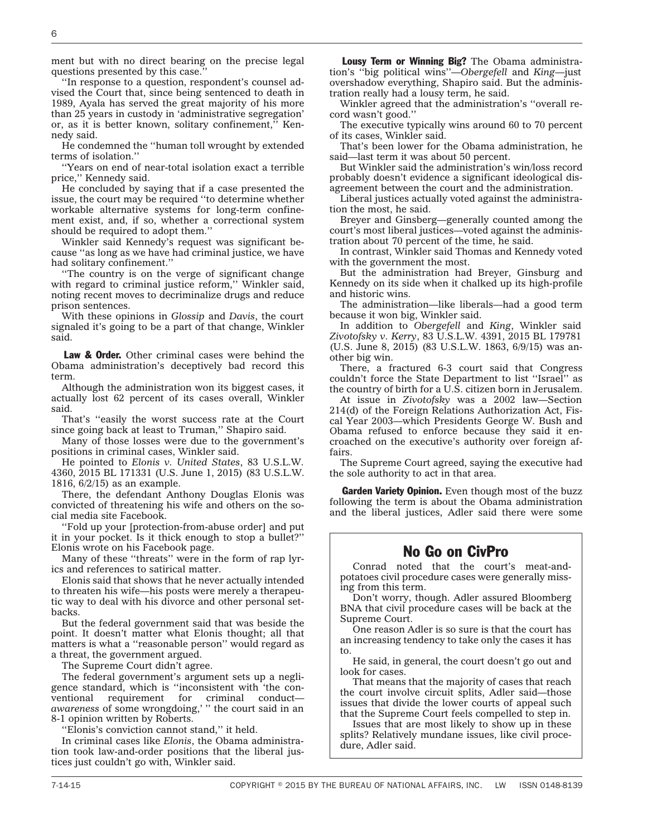ment but with no direct bearing on the precise legal questions presented by this case.

''In response to a question, respondent's counsel advised the Court that, since being sentenced to death in 1989, Ayala has served the great majority of his more than 25 years in custody in 'administrative segregation' or, as it is better known, solitary confinement,'' Kennedy said.

He condemned the ''human toll wrought by extended terms of isolation.''

''Years on end of near-total isolation exact a terrible price,'' Kennedy said.

He concluded by saying that if a case presented the issue, the court may be required ''to determine whether workable alternative systems for long-term confinement exist, and, if so, whether a correctional system should be required to adopt them.''

Winkler said Kennedy's request was significant because ''as long as we have had criminal justice, we have had solitary confinement.''

''The country is on the verge of significant change with regard to criminal justice reform," Winkler said, noting recent moves to decriminalize drugs and reduce prison sentences.

With these opinions in *Glossip* and *Davis*, the court signaled it's going to be a part of that change, Winkler said.

Law & Order. Other criminal cases were behind the Obama administration's deceptively bad record this term.

Although the administration won its biggest cases, it actually lost 62 percent of its cases overall, Winkler said.

That's ''easily the worst success rate at the Court since going back at least to Truman,'' Shapiro said.

Many of those losses were due to the government's positions in criminal cases, Winkler said.

He pointed to *Elonis v. United States*, 83 U.S.L.W. 4360, 2015 BL 171331 (U.S. June 1, 2015) (83 U.S.L.W. 1816, 6/2/15) as an example.

There, the defendant Anthony Douglas Elonis was convicted of threatening his wife and others on the social media site Facebook.

''Fold up your [protection-from-abuse order] and put it in your pocket. Is it thick enough to stop a bullet?'' Elonis wrote on his Facebook page.

Many of these ''threats'' were in the form of rap lyrics and references to satirical matter.

Elonis said that shows that he never actually intended to threaten his wife—his posts were merely a therapeutic way to deal with his divorce and other personal setbacks.

But the federal government said that was beside the point. It doesn't matter what Elonis thought; all that matters is what a ''reasonable person'' would regard as a threat, the government argued.

The Supreme Court didn't agree.

The federal government's argument sets up a negligence standard, which is ''inconsistent with 'the conventional requirement for criminal conduct *awareness* of some wrongdoing,' '' the court said in an 8-1 opinion written by Roberts.

''Elonis's conviction cannot stand,'' it held.

In criminal cases like *Elonis*, the Obama administration took law-and-order positions that the liberal justices just couldn't go with, Winkler said.

Lousy Term or Winning Big? The Obama administration's ''big political wins''—*Obergefell* and *King*—just overshadow everything, Shapiro said. But the administration really had a lousy term, he said.

Winkler agreed that the administration's ''overall record wasn't good.''

The executive typically wins around 60 to 70 percent of its cases, Winkler said.

That's been lower for the Obama administration, he said—last term it was about 50 percent.

But Winkler said the administration's win/loss record probably doesn't evidence a significant ideological disagreement between the court and the administration.

Liberal justices actually voted against the administration the most, he said.

Breyer and Ginsberg—generally counted among the court's most liberal justices—voted against the administration about 70 percent of the time, he said.

In contrast, Winkler said Thomas and Kennedy voted with the government the most.

But the administration had Breyer, Ginsburg and Kennedy on its side when it chalked up its high-profile and historic wins.

The administration—like liberals—had a good term because it won big, Winkler said.

In addition to *Obergefell* and *King*, Winkler said *Zivotofsky v. Kerry*, 83 U.S.L.W. 4391, 2015 BL 179781 (U.S. June 8, 2015) (83 U.S.L.W. 1863, 6/9/15) was another big win.

There, a fractured 6-3 court said that Congress couldn't force the State Department to list ''Israel'' as the country of birth for a U.S. citizen born in Jerusalem.

At issue in *Zivotofsky* was a 2002 law—Section 214(d) of the Foreign Relations Authorization Act, Fiscal Year 2003—which Presidents George W. Bush and Obama refused to enforce because they said it encroached on the executive's authority over foreign affairs.

The Supreme Court agreed, saying the executive had the sole authority to act in that area.

Garden Variety Opinion. Even though most of the buzz following the term is about the Obama administration and the liberal justices, Adler said there were some

#### No Go on CivPro

Conrad noted that the court's meat-andpotatoes civil procedure cases were generally missing from this term.

Don't worry, though. Adler assured Bloomberg BNA that civil procedure cases will be back at the Supreme Court.

One reason Adler is so sure is that the court has an increasing tendency to take only the cases it has to.

He said, in general, the court doesn't go out and look for cases.

That means that the majority of cases that reach the court involve circuit splits, Adler said—those issues that divide the lower courts of appeal such that the Supreme Court feels compelled to step in.

Issues that are most likely to show up in these splits? Relatively mundane issues, like civil procedure, Adler said.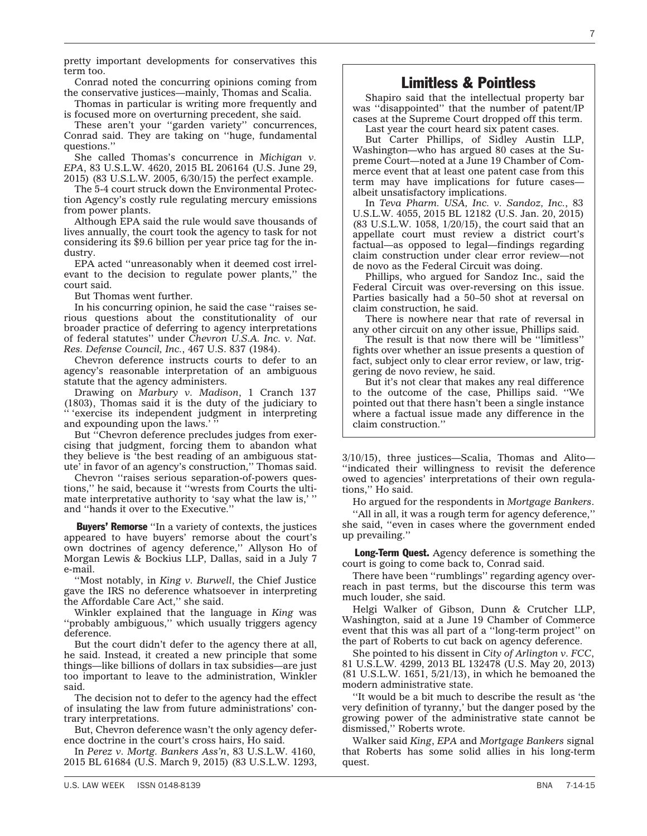Conrad noted the concurring opinions coming from the conservative justices—mainly, Thomas and Scalia.

Thomas in particular is writing more frequently and is focused more on overturning precedent, she said.

These aren't your "garden variety" concurrences, Conrad said. They are taking on ''huge, fundamental questions.''

She called Thomas's concurrence in *Michigan v. EPA*, 83 U.S.L.W. 4620, 2015 BL 206164 (U.S. June 29, 2015) (83 U.S.L.W. 2005, 6/30/15) the perfect example.

The 5-4 court struck down the Environmental Protection Agency's costly rule regulating mercury emissions from power plants.

Although EPA said the rule would save thousands of lives annually, the court took the agency to task for not considering its \$9.6 billion per year price tag for the industry.

EPA acted ''unreasonably when it deemed cost irrelevant to the decision to regulate power plants,'' the court said.

But Thomas went further.

In his concurring opinion, he said the case ''raises serious questions about the constitutionality of our broader practice of deferring to agency interpretations of federal statutes'' under *Chevron U.S.A. Inc. v. Nat. Res. Defense Council, Inc.*, 467 U.S. 837 (1984).

Chevron deference instructs courts to defer to an agency's reasonable interpretation of an ambiguous statute that the agency administers.

Drawing on *Marbury v. Madison*, 1 Cranch 137 (1803), Thomas said it is the duty of the judiciary to '' 'exercise its independent judgment in interpreting and expounding upon the laws.'

But ''Chevron deference precludes judges from exercising that judgment, forcing them to abandon what they believe is 'the best reading of an ambiguous statute' in favor of an agency's construction,'' Thomas said.

Chevron ''raises serious separation-of-powers questions,'' he said, because it ''wrests from Courts the ultimate interpretative authority to 'say what the law is,' '' and ''hands it over to the Executive.''

Buyers' Remorse ''In a variety of contexts, the justices appeared to have buyers' remorse about the court's own doctrines of agency deference,'' Allyson Ho of Morgan Lewis & Bockius LLP, Dallas, said in a July 7 e-mail.

''Most notably, in *King v. Burwell*, the Chief Justice gave the IRS no deference whatsoever in interpreting the Affordable Care Act,'' she said.

Winkler explained that the language in *King* was ''probably ambiguous,'' which usually triggers agency deference.

But the court didn't defer to the agency there at all, he said. Instead, it created a new principle that some things—like billions of dollars in tax subsidies—are just too important to leave to the administration, Winkler said.

The decision not to defer to the agency had the effect of insulating the law from future administrations' contrary interpretations.

But, Chevron deference wasn't the only agency deference doctrine in the court's cross hairs, Ho said.

In *Perez v. Mortg. Bankers Ass'n*, 83 U.S.L.W. 4160, 2015 BL 61684 (U.S. March 9, 2015) (83 U.S.L.W. 1293,

### Limitless & Pointless

Shapiro said that the intellectual property bar was ''disappointed'' that the number of patent/IP cases at the Supreme Court dropped off this term.

Last year the court heard six patent cases.

But Carter Phillips, of Sidley Austin LLP, Washington—who has argued 80 cases at the Supreme Court—noted at a June 19 Chamber of Commerce event that at least one patent case from this term may have implications for future cases albeit unsatisfactory implications.

In *Teva Pharm. USA, Inc. v. Sandoz, Inc.*, 83 U.S.L.W. 4055, 2015 BL 12182 (U.S. Jan. 20, 2015) (83 U.S.L.W. 1058, 1/20/15), the court said that an appellate court must review a district court's factual—as opposed to legal—findings regarding claim construction under clear error review—not de novo as the Federal Circuit was doing.

Phillips, who argued for Sandoz Inc., said the Federal Circuit was over-reversing on this issue. Parties basically had a 50–50 shot at reversal on claim construction, he said.

There is nowhere near that rate of reversal in any other circuit on any other issue, Phillips said.

The result is that now there will be ''limitless'' fights over whether an issue presents a question of fact, subject only to clear error review, or law, triggering de novo review, he said.

But it's not clear that makes any real difference to the outcome of the case, Phillips said. ''We pointed out that there hasn't been a single instance where a factual issue made any difference in the claim construction.''

3/10/15), three justices—Scalia, Thomas and Alito— ''indicated their willingness to revisit the deference owed to agencies' interpretations of their own regulations,'' Ho said.

Ho argued for the respondents in *Mortgage Bankers*.

''All in all, it was a rough term for agency deference,'' she said, ''even in cases where the government ended up prevailing.''

Long-Term Quest. Agency deference is something the court is going to come back to, Conrad said.

There have been ''rumblings'' regarding agency overreach in past terms, but the discourse this term was much louder, she said.

Helgi Walker of Gibson, Dunn & Crutcher LLP, Washington, said at a June 19 Chamber of Commerce event that this was all part of a ''long-term project'' on the part of Roberts to cut back on agency deference.

She pointed to his dissent in *City of Arlington v. FCC*, 81 U.S.L.W. 4299, 2013 BL 132478 (U.S. May 20, 2013) (81 U.S.L.W. 1651, 5/21/13), in which he bemoaned the modern administrative state.

''It would be a bit much to describe the result as 'the very definition of tyranny,' but the danger posed by the growing power of the administrative state cannot be dismissed,'' Roberts wrote.

Walker said *King*, *EPA* and *Mortgage Bankers* signal that Roberts has some solid allies in his long-term quest.